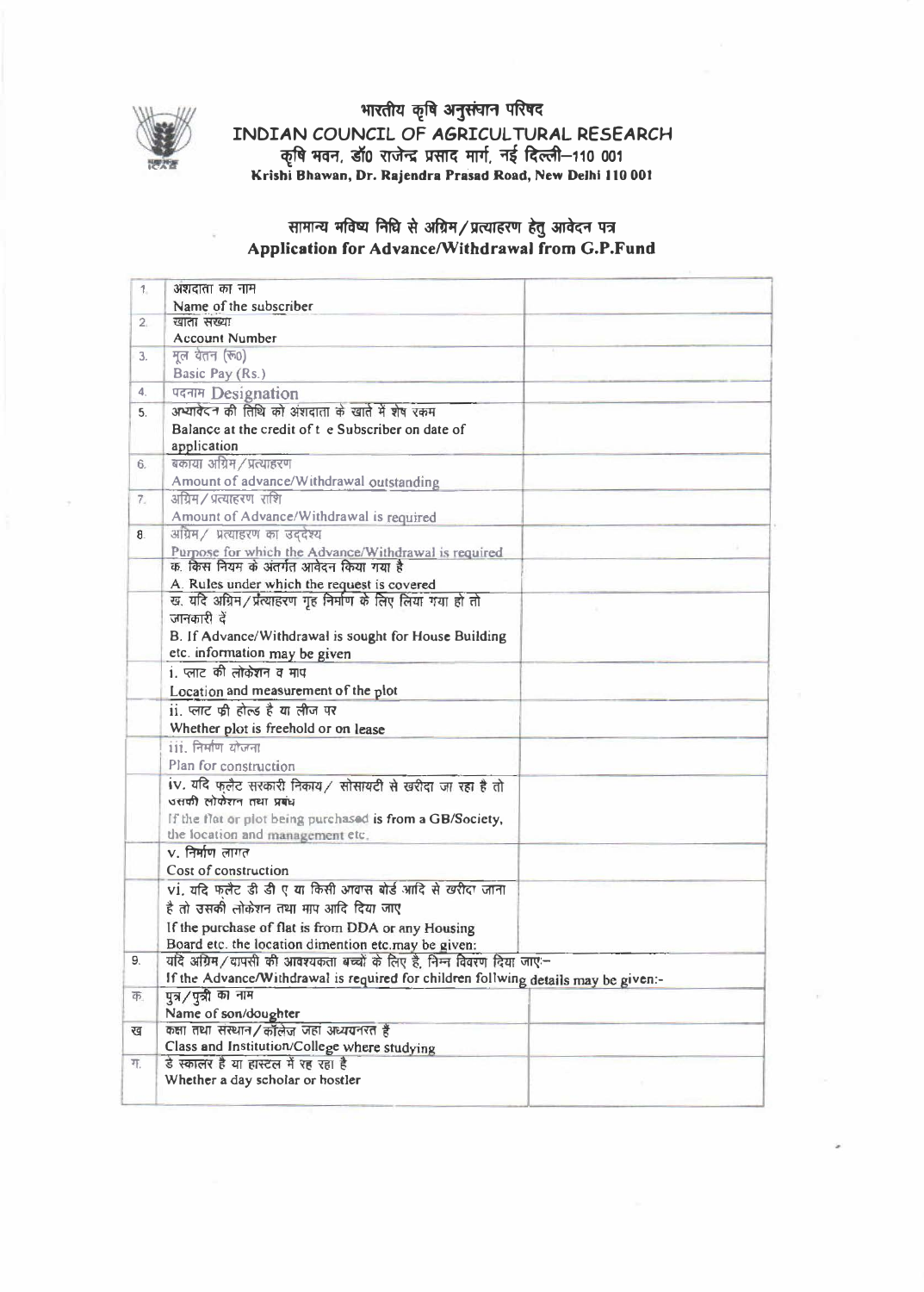

भारतीय कृषि अनुसंचान परिषद INDIAN COUNCIL OF AGRICULTURAL RESEARCH कृषि भवन, डॉ0 राजेन्द्र प्रसाद मार्ग, नई दिल्ली-110 001<br>Krishi Bhawan, Dr. Rajendra Prasad Road, New Delhi 110 001

## सामान्य मविष्य निधि से अग्रिम/प्रत्याहरण हेतु आवेदन पत्र Application for Advance/Withdrawal from G.P.Fund

| 1.             | अशदाता का नाम                                                                      |
|----------------|------------------------------------------------------------------------------------|
|                | Name of the subscriber                                                             |
| 2 <sub>1</sub> | खाता संख्या                                                                        |
|                | <b>Account Number</b>                                                              |
| 3.             | मूल येतन (रू0)                                                                     |
|                | Basic Pay (Rs.)                                                                    |
| 4.             | पदनाम Designation                                                                  |
| 5.             | अभ्यावेदन की तिथि को अंशदाता के खाते में शेष रकम                                   |
|                | Balance at the credit of t e Subscriber on date of                                 |
|                | application                                                                        |
| 6.             | बकाया अग्रिम / प्रत्याहरण                                                          |
|                | Amount of advance/Withdrawal outstanding                                           |
| 7.             | अग्रिम / प्रत्याहरण राशि                                                           |
|                | Amount of Advance/Withdrawal is required                                           |
| 8.             | अग्रिम / प्रत्याहरण का उददेश्य                                                     |
|                | Purpose for which the Advance/Withdrawal is required                               |
|                | क, किस नियम के अंतर्गत आवेदन किया गया है                                           |
|                | A. Rules under which the request is covered                                        |
|                | ख. यदि अग्रिम/प्रत्याहरण गृह निर्माण के लिए लिया गया हो तो                         |
|                | जानकारी दें                                                                        |
|                | B. If Advance/Withdrawal is sought for House Building                              |
|                | etc. information may be given                                                      |
|                | 1. प्लाट की लोकेशन व माप                                                           |
|                | Location and measurement of the plot                                               |
|                | ii. प्लाट की होल्ड है या लीज पर                                                    |
|                | Whether plot is freehold or on lease                                               |
|                | 111. निर्माण योजना                                                                 |
|                | Plan for construction                                                              |
|                | iv. यदि फलैट सरकारी निकाय / सोसायटी से खरीदा जा रहा है तो                          |
|                | उसकी लोकेशन तथा प्रबंध                                                             |
|                | If the flat or plot being purchased is from a GB/Society,                          |
|                | the location and management etc.                                                   |
|                | $v$ , निर्माण लागत                                                                 |
|                | Cost of construction                                                               |
|                | vi. यदि फलैट डी डी ए या किसी आवास बोर्ड आदि से खरीदा जाना                          |
|                | है तो उसकी लोकेशन तथा माप आदि दिया जाए                                             |
|                | If the purchase of flat is from DDA or any Housing                                 |
|                | Board etc. the location dimention etc.may be given:                                |
| 9.             | यदि अग्रिम/वापसी की आवश्यकता बच्चों के लिए है, निम्न विवरण दिया जाए:-              |
|                | If the Advance/Withdrawal is required for children follwing details may be given:- |
| क.             | पुत्र/पुत्री का नाम                                                                |
|                | Name of son/doughter                                                               |
| ख              | कक्षा तथा संस्थान/कॉलेज जहां अध्ययनरत हैं                                          |
|                | Class and Institution/College where studying                                       |
| ग.             | डे स्कालर है या हास्टल में रह रहा है                                               |
|                | Whether a day scholar or hostler                                                   |
|                |                                                                                    |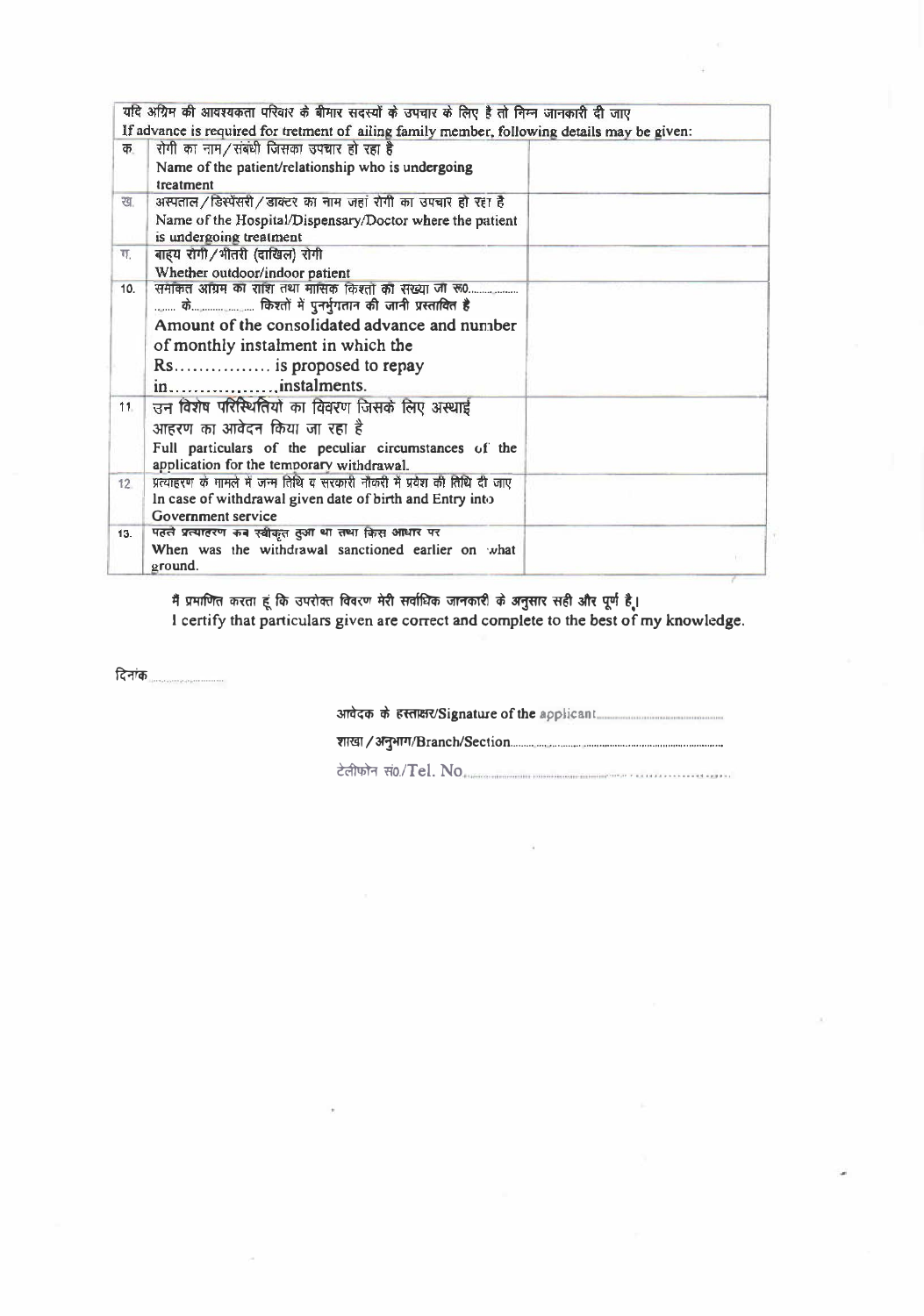|                 | यदि अग्निम की आवश्यकता परिवार के बीमार सदस्यों के उपचार के लिए है तो निम्न जानकारी दी जाए                    |  |
|-----------------|--------------------------------------------------------------------------------------------------------------|--|
|                 | If advance is required for tretment of ailing family member, following details may be given:                 |  |
| क               | रोगी का नाम/संबंधी जिसका उपचार हो रहा है                                                                     |  |
|                 | Name of the patient/relationship who is undergoing<br>treatment                                              |  |
| ख.              | अस्पताल/डिस्पेंसरी/डाक्टर का नाम जहां रोगी का उपचार हो रहा है                                                |  |
|                 | Name of the Hospital/Dispensary/Doctor where the patient<br>is undergoing treatment                          |  |
| π.              | बाहय रोगी/भीतरी (दाखिल) रोगी                                                                                 |  |
|                 | Whether outdoor/indoor patient                                                                               |  |
| 10.             | समेकित अग्रिम का राशि तथा मासिक किश्तों का संख्या जा रू0<br>के किश्तों में पुनर्भुगतान की जानी प्रस्तावित है |  |
|                 | Amount of the consolidated advance and number<br>of monthly instalment in which the                          |  |
|                 | Rs is proposed to repay                                                                                      |  |
|                 | ininstalments.                                                                                               |  |
| 11              | उन विशेष परिस्थितियों का विवरण जिसके लिए अस्थाई                                                              |  |
|                 | आहरण का आवेदन किया जा रहा है                                                                                 |  |
|                 | Full particulars of the peculiar circumstances of the<br>application for the temporary withdrawal.           |  |
| 12 <sup>7</sup> | प्रत्याहरण के मामले में जन्म तिथि व सरकारी नौकरी में प्रवेश की तिथि दी जाए                                   |  |
|                 | In case of withdrawal given date of birth and Entry into<br>Government service                               |  |
| 13.             | पहले प्रत्याहरण कब स्वीकृत तुआ था तथा किस आधार पर                                                            |  |
|                 | When was the withdrawal sanctioned earlier on what<br>ground.                                                |  |

मैं प्रमाणित करता हूं कि उपरोक्त विवरण मेरी सर्वाधिक जानकारी के अनुसार सही और पूर्ण है।<br>I certify that particulars given are correct and complete to the best of my knowledge.

दिनांक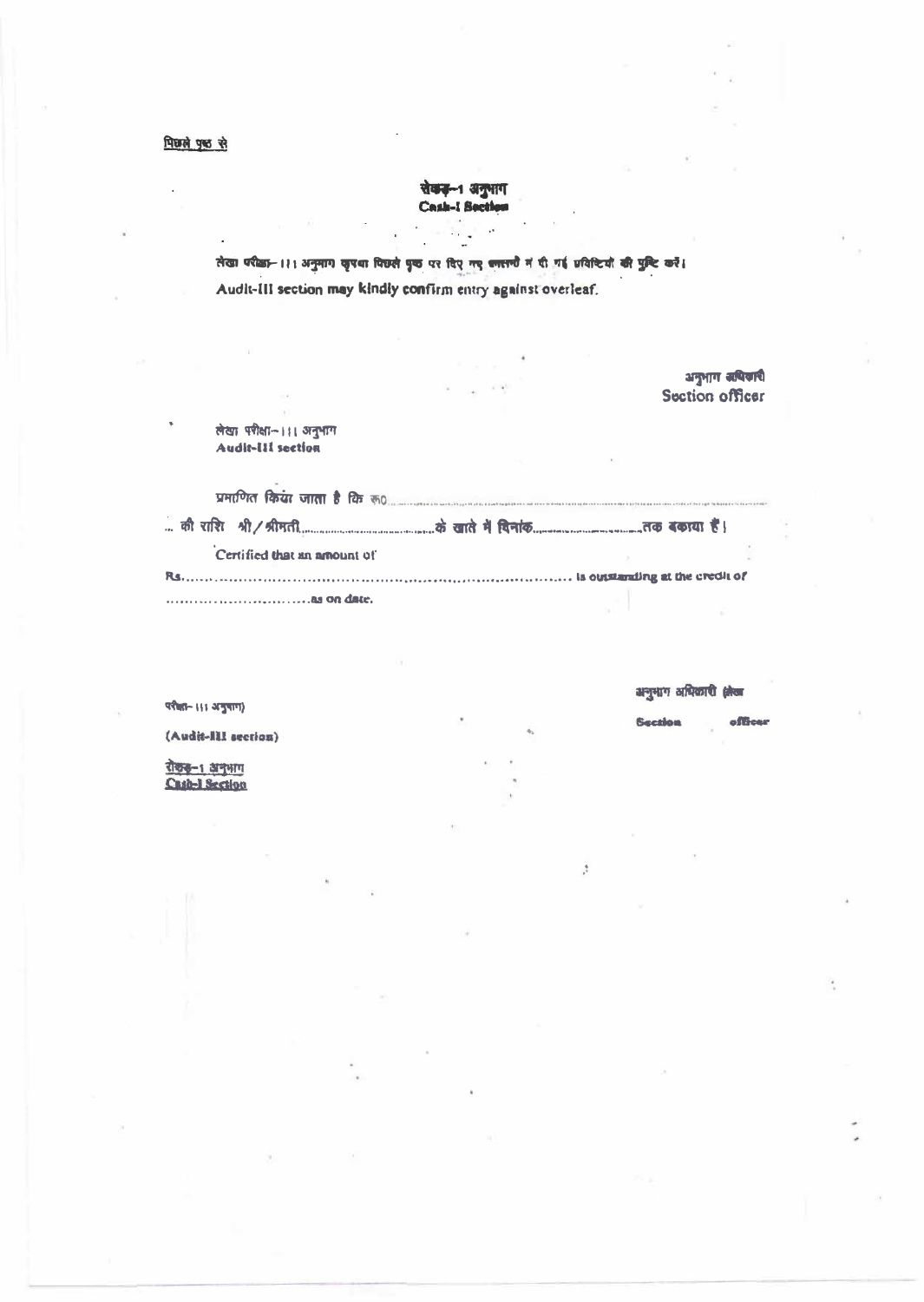रोकड़-1 अनुभाग<br>Cash-I Section

तेखा परीक्षा- ।।। अनुमाग कृपथा पिछले पृष्ठ पर दिए गए ब्लात्तरी में दी गई प्रविष्टियों की पुष्टि करें। Audit-III section may kindly confirm entry against overleaf.

लेखा परीक्षा- ।।। अनुभाग Audit-III section

| Certified that an amount of |  |
|-----------------------------|--|
|                             |  |
|                             |  |

अनुभाग अधिकारी क्षेत्रा

**Section** 

 $\frac{1}{\sqrt{2}}$ 

officer

अनुभाग समित्रारी Section officer

परीका– ।।। अनुपाग)

(Audit-Ill section)

<u>रोकड़-1 अनुभाग</u><br>Cash-1 Section